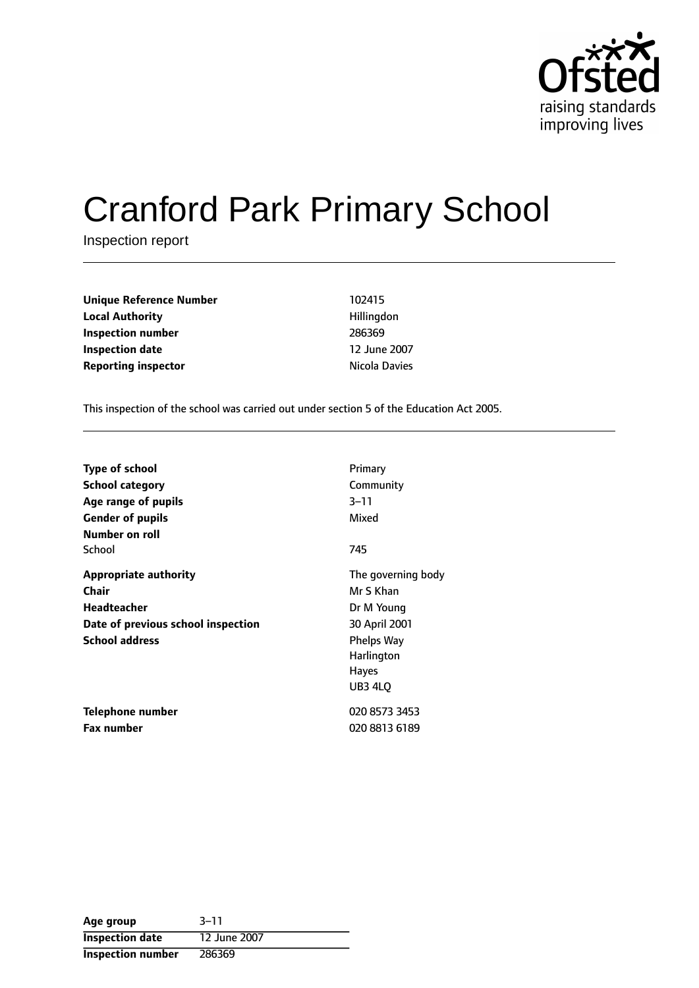

# Cranford Park Primary School

Inspection report

| <b>Unique Reference Number</b> | 102415        |
|--------------------------------|---------------|
| <b>Local Authority</b>         | Hillingdon    |
| Inspection number              | 286369        |
| <b>Inspection date</b>         | 12 June 2007  |
| <b>Reporting inspector</b>     | Nicola Davies |

This inspection of the school was carried out under section 5 of the Education Act 2005.

| <b>Type of school</b>              | Primary                                                    |
|------------------------------------|------------------------------------------------------------|
| School category                    | Community                                                  |
| Age range of pupils                | $3 - 11$                                                   |
| <b>Gender of pupils</b>            | Mixed                                                      |
| Number on roll<br>School           | 745                                                        |
| <b>Appropriate authority</b>       | The governing body                                         |
| Chair                              | Mr S Khan                                                  |
| Headteacher                        | Dr M Young                                                 |
| Date of previous school inspection | 30 April 2001                                              |
| <b>School address</b>              | <b>Phelps Way</b><br>Harlington<br><b>Hayes</b><br>UB3 4LQ |
| Telephone number                   | 020 8573 3453                                              |
| <b>Fax number</b>                  | 020 8813 6189                                              |

| Age group                | $3 - 11$     |
|--------------------------|--------------|
| <b>Inspection date</b>   | 12 June 2007 |
| <b>Inspection number</b> | 286369       |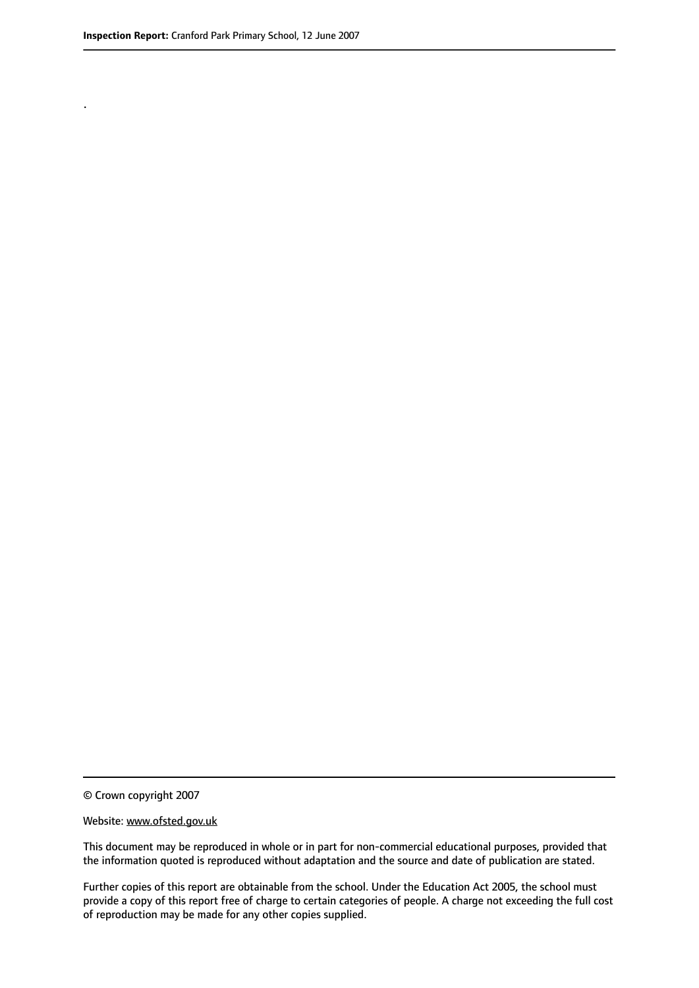.

© Crown copyright 2007

#### Website: www.ofsted.gov.uk

This document may be reproduced in whole or in part for non-commercial educational purposes, provided that the information quoted is reproduced without adaptation and the source and date of publication are stated.

Further copies of this report are obtainable from the school. Under the Education Act 2005, the school must provide a copy of this report free of charge to certain categories of people. A charge not exceeding the full cost of reproduction may be made for any other copies supplied.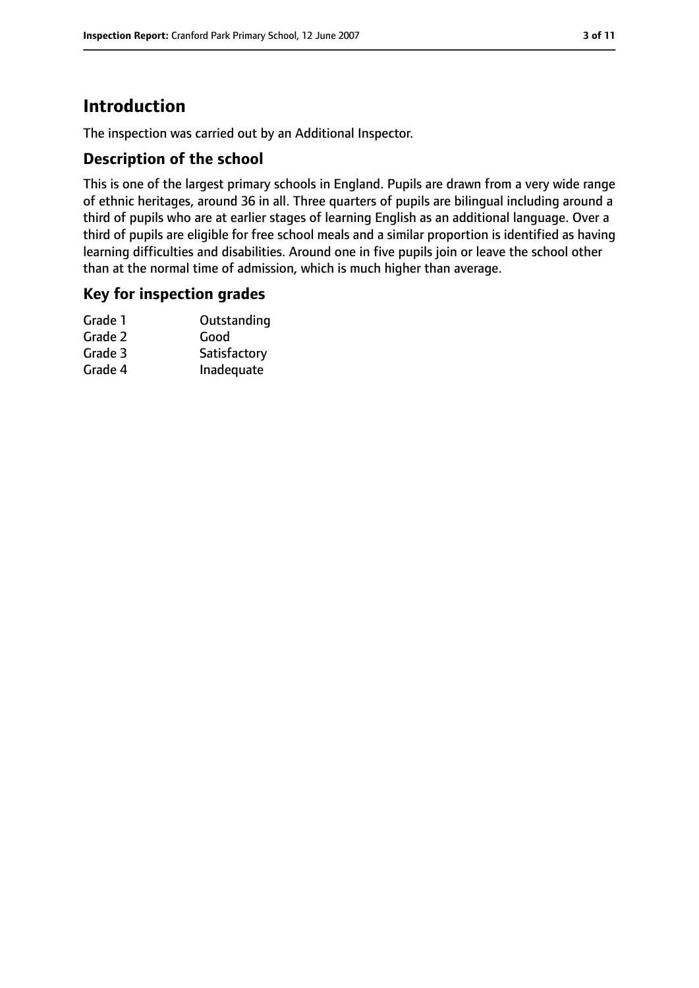# **Introduction**

The inspection was carried out by an Additional Inspector.

## **Description of the school**

This is one of the largest primary schools in England. Pupils are drawn from a very wide range of ethnic heritages, around 36 in all. Three quarters of pupils are bilingual including around a third of pupils who are at earlier stages of learning English as an additional language. Over a third of pupils are eligible for free school meals and a similar proportion is identified as having learning difficulties and disabilities. Around one in five pupils join or leave the school other than at the normal time of admission, which is much higher than average.

### **Key for inspection grades**

| Grade 1 | Outstanding  |
|---------|--------------|
| Grade 2 | Good         |
| Grade 3 | Satisfactory |
| Grade 4 | Inadequate   |
|         |              |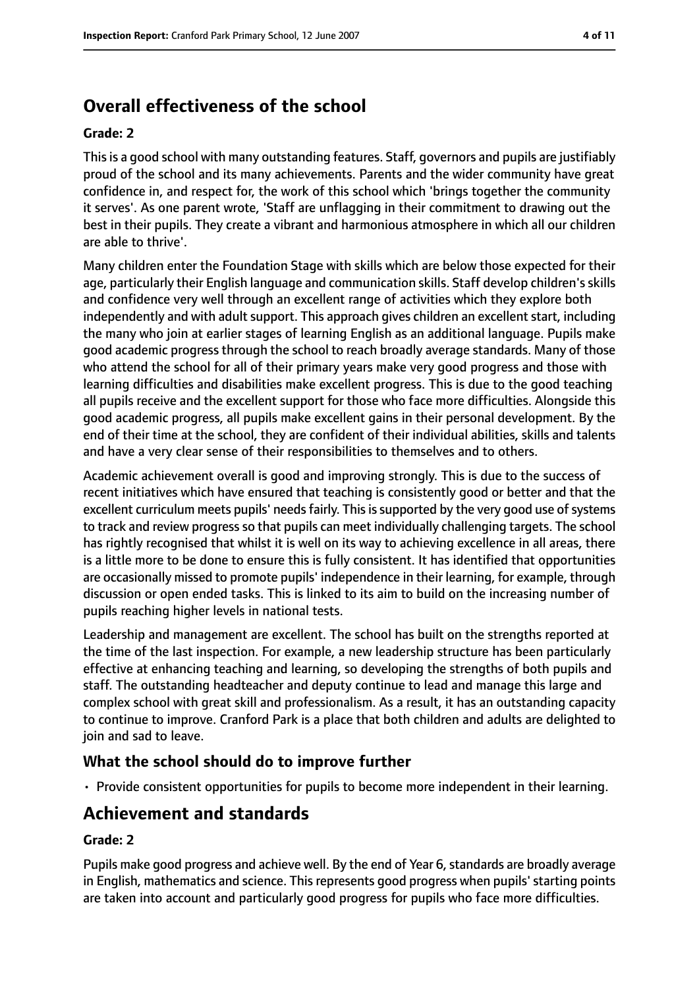# **Overall effectiveness of the school**

#### **Grade: 2**

Thisis a good school with many outstanding features. Staff, governors and pupils are justifiably proud of the school and its many achievements. Parents and the wider community have great confidence in, and respect for, the work of this school which 'brings together the community it serves'. As one parent wrote, 'Staff are unflagging in their commitment to drawing out the best in their pupils. They create a vibrant and harmonious atmosphere in which all our children are able to thrive'.

Many children enter the Foundation Stage with skills which are below those expected for their age, particularly their English language and communication skills. Staff develop children'sskills and confidence very well through an excellent range of activities which they explore both independently and with adult support. This approach gives children an excellent start, including the many who join at earlier stages of learning English as an additional language. Pupils make good academic progress through the school to reach broadly average standards. Many of those who attend the school for all of their primary years make very good progress and those with learning difficulties and disabilities make excellent progress. This is due to the good teaching all pupils receive and the excellent support for those who face more difficulties. Alongside this good academic progress, all pupils make excellent gains in their personal development. By the end of their time at the school, they are confident of their individual abilities, skills and talents and have a very clear sense of their responsibilities to themselves and to others.

Academic achievement overall is good and improving strongly. This is due to the success of recent initiatives which have ensured that teaching is consistently good or better and that the excellent curriculum meets pupils' needs fairly. This is supported by the very good use of systems to track and review progress so that pupils can meet individually challenging targets. The school has rightly recognised that whilst it is well on its way to achieving excellence in all areas, there is a little more to be done to ensure this is fully consistent. It has identified that opportunities are occasionally missed to promote pupils' independence in their learning, for example, through discussion or open ended tasks. This is linked to its aim to build on the increasing number of pupils reaching higher levels in national tests.

Leadership and management are excellent. The school has built on the strengths reported at the time of the last inspection. For example, a new leadership structure has been particularly effective at enhancing teaching and learning, so developing the strengths of both pupils and staff. The outstanding headteacher and deputy continue to lead and manage this large and complex school with great skill and professionalism. As a result, it has an outstanding capacity to continue to improve. Cranford Park is a place that both children and adults are delighted to join and sad to leave.

## **What the school should do to improve further**

• Provide consistent opportunities for pupils to become more independent in their learning.

# **Achievement and standards**

### **Grade: 2**

Pupils make good progress and achieve well. By the end of Year 6, standards are broadly average in English, mathematics and science. This represents good progress when pupils' starting points are taken into account and particularly good progress for pupils who face more difficulties.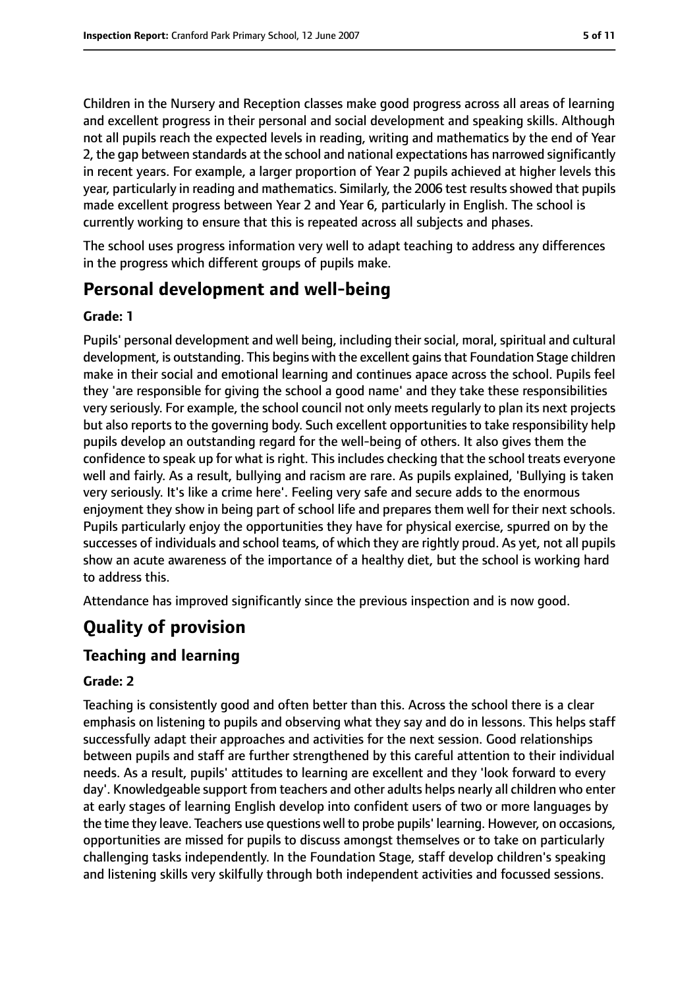Children in the Nursery and Reception classes make good progress across all areas of learning and excellent progress in their personal and social development and speaking skills. Although not all pupils reach the expected levels in reading, writing and mathematics by the end of Year 2, the gap between standards at the school and national expectations has narrowed significantly in recent years. For example, a larger proportion of Year 2 pupils achieved at higher levels this year, particularly in reading and mathematics. Similarly, the 2006 test results showed that pupils made excellent progress between Year 2 and Year 6, particularly in English. The school is currently working to ensure that this is repeated across all subjects and phases.

The school uses progress information very well to adapt teaching to address any differences in the progress which different groups of pupils make.

# **Personal development and well-being**

### **Grade: 1**

Pupils' personal development and well being, including their social, moral, spiritual and cultural development, is outstanding. This begins with the excellent gainsthat Foundation Stage children make in their social and emotional learning and continues apace across the school. Pupils feel they 'are responsible for giving the school a good name' and they take these responsibilities very seriously. For example, the school council not only meets regularly to plan its next projects but also reports to the governing body. Such excellent opportunities to take responsibility help pupils develop an outstanding regard for the well-being of others. It also gives them the confidence to speak up for what is right. This includes checking that the school treats everyone well and fairly. As a result, bullying and racism are rare. As pupils explained, 'Bullying is taken very seriously. It's like a crime here'. Feeling very safe and secure adds to the enormous enjoyment they show in being part of school life and prepares them well for their next schools. Pupils particularly enjoy the opportunities they have for physical exercise, spurred on by the successes of individuals and school teams, of which they are rightly proud. As yet, not all pupils show an acute awareness of the importance of a healthy diet, but the school is working hard to address this.

Attendance has improved significantly since the previous inspection and is now good.

# **Quality of provision**

## **Teaching and learning**

### **Grade: 2**

Teaching is consistently good and often better than this. Across the school there is a clear emphasis on listening to pupils and observing what they say and do in lessons. This helps staff successfully adapt their approaches and activities for the next session. Good relationships between pupils and staff are further strengthened by this careful attention to their individual needs. As a result, pupils' attitudes to learning are excellent and they 'look forward to every day'. Knowledgeable support from teachers and other adults helps nearly all children who enter at early stages of learning English develop into confident users of two or more languages by the time they leave. Teachers use questions well to probe pupils' learning. However, on occasions, opportunities are missed for pupils to discuss amongst themselves or to take on particularly challenging tasks independently. In the Foundation Stage, staff develop children's speaking and listening skills very skilfully through both independent activities and focussed sessions.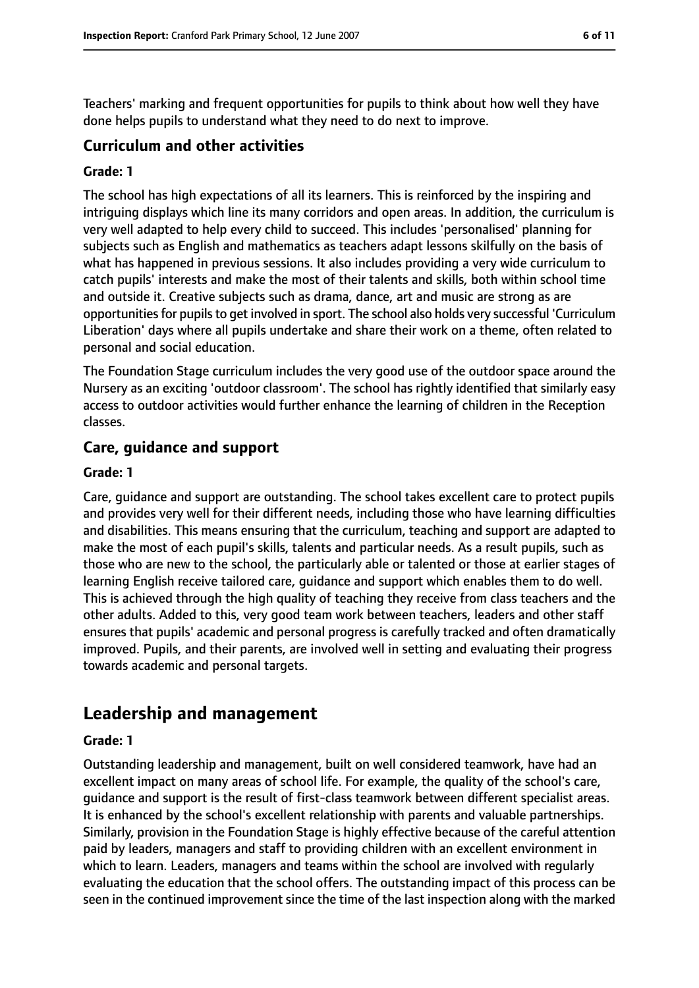Teachers' marking and frequent opportunities for pupils to think about how well they have done helps pupils to understand what they need to do next to improve.

### **Curriculum and other activities**

#### **Grade: 1**

The school has high expectations of all its learners. This is reinforced by the inspiring and intriguing displays which line its many corridors and open areas. In addition, the curriculum is very well adapted to help every child to succeed. This includes 'personalised' planning for subjects such as English and mathematics as teachers adapt lessons skilfully on the basis of what has happened in previous sessions. It also includes providing a very wide curriculum to catch pupils' interests and make the most of their talents and skills, both within school time and outside it. Creative subjects such as drama, dance, art and music are strong as are opportunities for pupils to get involved in sport. The school also holds very successful 'Curriculum Liberation' days where all pupils undertake and share their work on a theme, often related to personal and social education.

The Foundation Stage curriculum includes the very good use of the outdoor space around the Nursery as an exciting 'outdoor classroom'. The school has rightly identified that similarly easy access to outdoor activities would further enhance the learning of children in the Reception classes.

#### **Care, guidance and support**

#### **Grade: 1**

Care, guidance and support are outstanding. The school takes excellent care to protect pupils and provides very well for their different needs, including those who have learning difficulties and disabilities. This means ensuring that the curriculum, teaching and support are adapted to make the most of each pupil's skills, talents and particular needs. As a result pupils, such as those who are new to the school, the particularly able or talented or those at earlier stages of learning English receive tailored care, guidance and support which enables them to do well. This is achieved through the high quality of teaching they receive from class teachers and the other adults. Added to this, very good team work between teachers, leaders and other staff ensures that pupils' academic and personal progress is carefully tracked and often dramatically improved. Pupils, and their parents, are involved well in setting and evaluating their progress towards academic and personal targets.

# **Leadership and management**

#### **Grade: 1**

Outstanding leadership and management, built on well considered teamwork, have had an excellent impact on many areas of school life. For example, the quality of the school's care, guidance and support is the result of first-class teamwork between different specialist areas. It is enhanced by the school's excellent relationship with parents and valuable partnerships. Similarly, provision in the Foundation Stage is highly effective because of the careful attention paid by leaders, managers and staff to providing children with an excellent environment in which to learn. Leaders, managers and teams within the school are involved with regularly evaluating the education that the school offers. The outstanding impact of this process can be seen in the continued improvement since the time of the last inspection along with the marked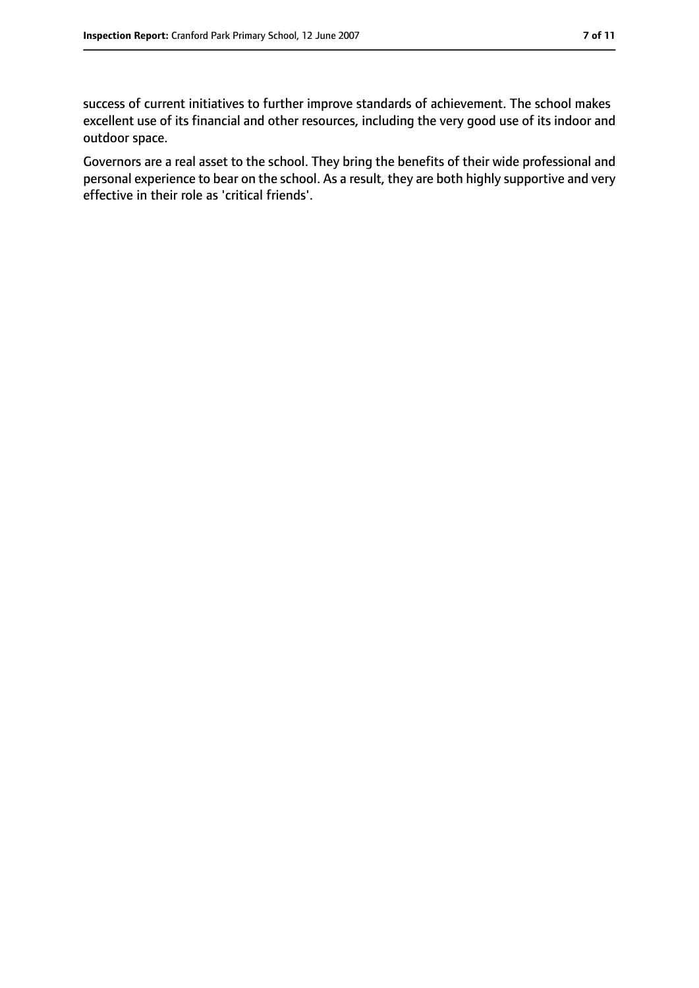success of current initiatives to further improve standards of achievement. The school makes excellent use of its financial and other resources, including the very good use of its indoor and outdoor space.

Governors are a real asset to the school. They bring the benefits of their wide professional and personal experience to bear on the school. As a result, they are both highly supportive and very effective in their role as 'critical friends'.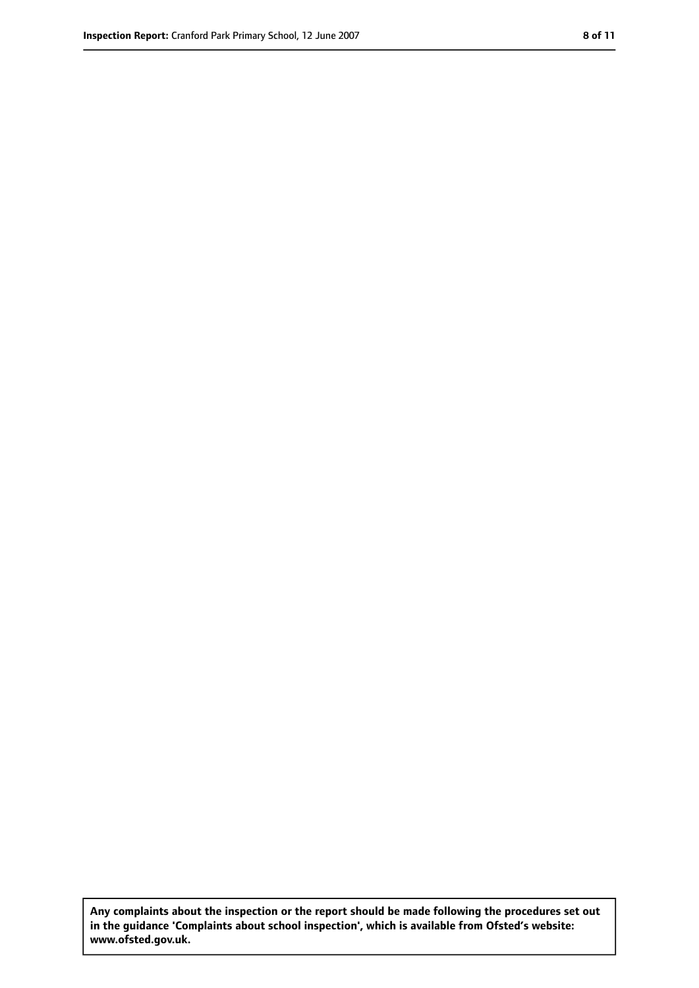**Any complaints about the inspection or the report should be made following the procedures set out in the guidance 'Complaints about school inspection', which is available from Ofsted's website: www.ofsted.gov.uk.**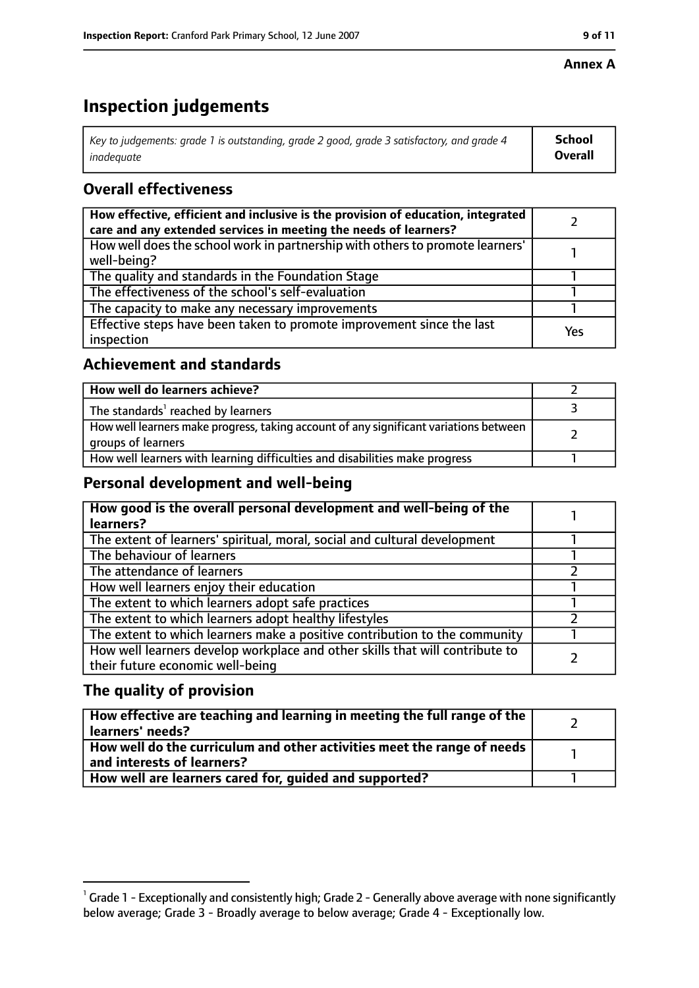#### **Annex A**

# **Inspection judgements**

| Key to judgements: grade 1 is outstanding, grade 2 good, grade 3 satisfactory, and grade 4 $\,$ | <b>School</b>  |
|-------------------------------------------------------------------------------------------------|----------------|
| inadequate                                                                                      | <b>Overall</b> |

## **Overall effectiveness**

| How effective, efficient and inclusive is the provision of education, integrated<br>care and any extended services in meeting the needs of learners? |     |
|------------------------------------------------------------------------------------------------------------------------------------------------------|-----|
| How well does the school work in partnership with others to promote learners'<br>well-being?                                                         |     |
| The quality and standards in the Foundation Stage                                                                                                    |     |
| The effectiveness of the school's self-evaluation                                                                                                    |     |
| The capacity to make any necessary improvements                                                                                                      |     |
| Effective steps have been taken to promote improvement since the last<br>inspection                                                                  | Yes |

## **Achievement and standards**

| How well do learners achieve?                                                                               |  |
|-------------------------------------------------------------------------------------------------------------|--|
| The standards <sup>1</sup> reached by learners                                                              |  |
| How well learners make progress, taking account of any significant variations between<br>groups of learners |  |
| How well learners with learning difficulties and disabilities make progress                                 |  |

## **Personal development and well-being**

| How good is the overall personal development and well-being of the<br>learners?                                  |  |
|------------------------------------------------------------------------------------------------------------------|--|
| The extent of learners' spiritual, moral, social and cultural development                                        |  |
| The behaviour of learners                                                                                        |  |
| The attendance of learners                                                                                       |  |
| How well learners enjoy their education                                                                          |  |
| The extent to which learners adopt safe practices                                                                |  |
| The extent to which learners adopt healthy lifestyles                                                            |  |
| The extent to which learners make a positive contribution to the community                                       |  |
| How well learners develop workplace and other skills that will contribute to<br>their future economic well-being |  |

## **The quality of provision**

| How effective are teaching and learning in meeting the full range of the<br>learners' needs?          |  |
|-------------------------------------------------------------------------------------------------------|--|
| How well do the curriculum and other activities meet the range of needs<br>and interests of learners? |  |
| How well are learners cared for, quided and supported?                                                |  |

 $^1$  Grade 1 - Exceptionally and consistently high; Grade 2 - Generally above average with none significantly below average; Grade 3 - Broadly average to below average; Grade 4 - Exceptionally low.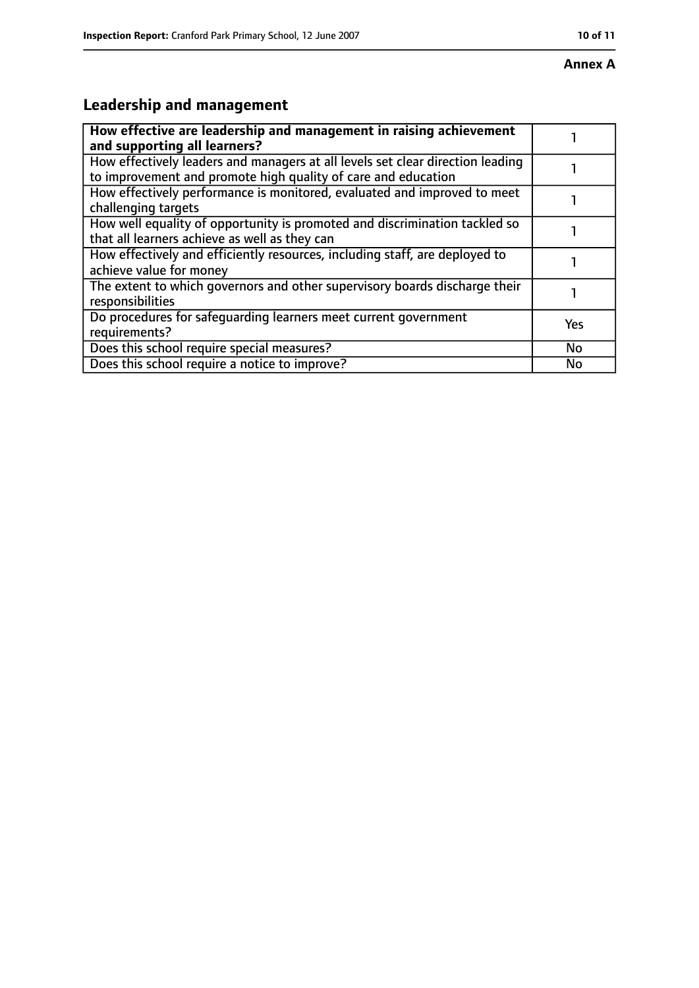# **Leadership and management**

| How effective are leadership and management in raising achievement<br>and supporting all learners?                                              |           |
|-------------------------------------------------------------------------------------------------------------------------------------------------|-----------|
| How effectively leaders and managers at all levels set clear direction leading<br>to improvement and promote high quality of care and education |           |
| How effectively performance is monitored, evaluated and improved to meet<br>challenging targets                                                 |           |
| How well equality of opportunity is promoted and discrimination tackled so<br>that all learners achieve as well as they can                     |           |
| How effectively and efficiently resources, including staff, are deployed to<br>achieve value for money                                          |           |
| The extent to which governors and other supervisory boards discharge their<br>responsibilities                                                  |           |
| Do procedures for safeguarding learners meet current government<br>requirements?                                                                | Yes       |
| Does this school require special measures?                                                                                                      | <b>No</b> |
| Does this school require a notice to improve?                                                                                                   | No        |